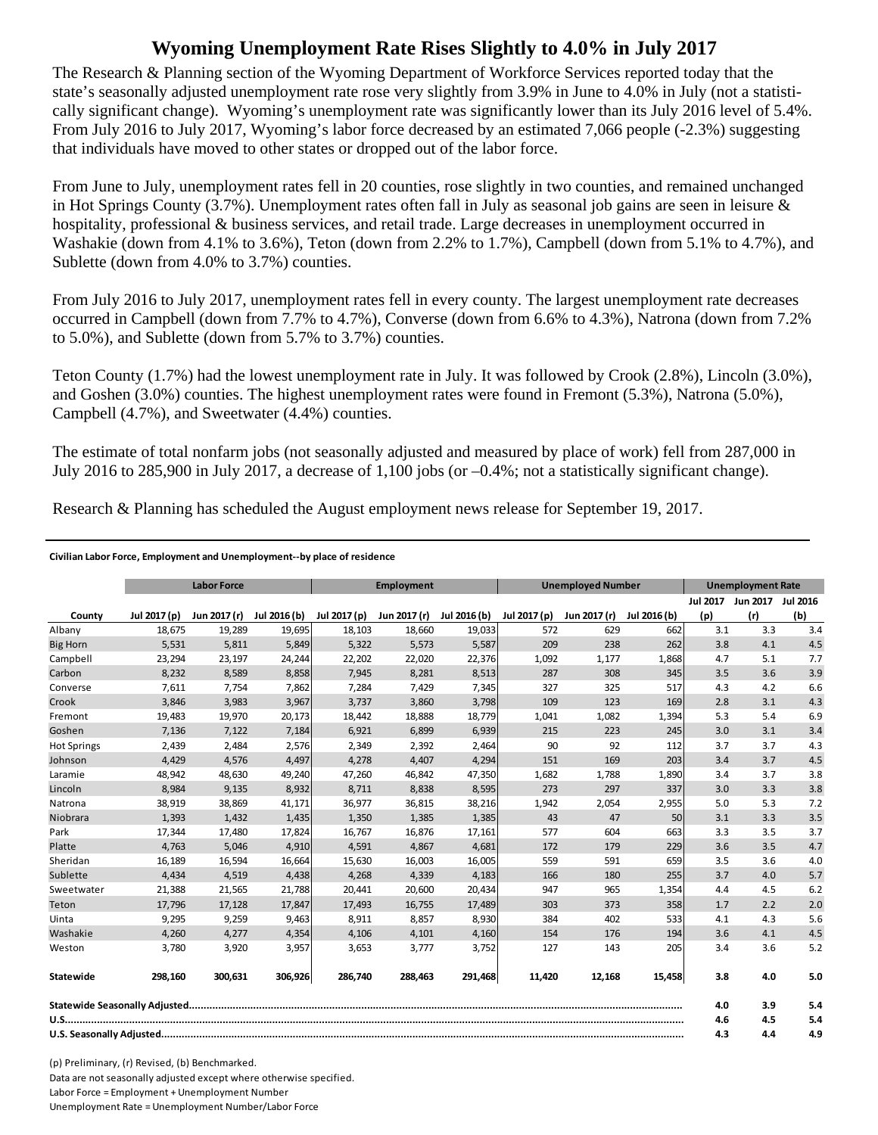## **Wyoming Unemployment Rate Rises Slightly to 4.0% in July 2017**

The Research & Planning section of the Wyoming Department of Workforce Services reported today that the state's seasonally adjusted unemployment rate rose very slightly from 3.9% in June to 4.0% in July (not a statistically significant change). Wyoming's unemployment rate was significantly lower than its July 2016 level of 5.4%. From July 2016 to July 2017, Wyoming's labor force decreased by an estimated 7,066 people (-2.3%) suggesting that individuals have moved to other states or dropped out of the labor force.

From June to July, unemployment rates fell in 20 counties, rose slightly in two counties, and remained unchanged in Hot Springs County (3.7%). Unemployment rates often fall in July as seasonal job gains are seen in leisure & hospitality, professional & business services, and retail trade. Large decreases in unemployment occurred in Washakie (down from 4.1% to 3.6%), Teton (down from 2.2% to 1.7%), Campbell (down from 5.1% to 4.7%), and Sublette (down from 4.0% to 3.7%) counties.

From July 2016 to July 2017, unemployment rates fell in every county. The largest unemployment rate decreases occurred in Campbell (down from 7.7% to 4.7%), Converse (down from 6.6% to 4.3%), Natrona (down from 7.2% to 5.0%), and Sublette (down from 5.7% to 3.7%) counties.

Teton County (1.7%) had the lowest unemployment rate in July. It was followed by Crook (2.8%), Lincoln (3.0%), and Goshen (3.0%) counties. The highest unemployment rates were found in Fremont (5.3%), Natrona (5.0%), Campbell (4.7%), and Sweetwater (4.4%) counties.

The estimate of total nonfarm jobs (not seasonally adjusted and measured by place of work) fell from 287,000 in July 2016 to 285,900 in July 2017, a decrease of 1,100 jobs (or –0.4%; not a statistically significant change).

Research & Planning has scheduled the August employment news release for September 19, 2017.

## **Civilian Labor Force, Employment and Unemployment‐‐by place of residence**

|                    |              | <b>Labor Force</b><br><b>Unemployed Number</b><br><b>Employment</b> |              |              |              | <b>Unemployment Rate</b> |              |              |              |                 |                   |     |
|--------------------|--------------|---------------------------------------------------------------------|--------------|--------------|--------------|--------------------------|--------------|--------------|--------------|-----------------|-------------------|-----|
|                    |              |                                                                     |              |              |              |                          |              |              |              | <b>Jul 2017</b> | Jun 2017 Jul 2016 |     |
| County             | Jul 2017 (p) | Jun 2017 (r)                                                        | Jul 2016 (b) | Jul 2017 (p) | Jun 2017 (r) | Jul 2016 (b)             | Jul 2017 (p) | Jun 2017 (r) | Jul 2016 (b) | (p)             | (r)               | (b) |
| Albany             | 18,675       | 19,289                                                              | 19,695       | 18,103       | 18,660       | 19,033                   | 572          | 629          | 662          | 3.1             | 3.3               | 3.4 |
| <b>Big Horn</b>    | 5,531        | 5,811                                                               | 5,849        | 5,322        | 5,573        | 5,587                    | 209          | 238          | 262          | 3.8             | 4.1               | 4.5 |
| Campbell           | 23,294       | 23,197                                                              | 24,244       | 22,202       | 22,020       | 22,376                   | 1,092        | 1,177        | 1,868        | 4.7             | 5.1               | 7.7 |
| Carbon             | 8,232        | 8,589                                                               | 8,858        | 7,945        | 8,281        | 8,513                    | 287          | 308          | 345          | 3.5             | 3.6               | 3.9 |
| Converse           | 7,611        | 7,754                                                               | 7,862        | 7,284        | 7,429        | 7,345                    | 327          | 325          | 517          | 4.3             | 4.2               | 6.6 |
| Crook              | 3,846        | 3,983                                                               | 3,967        | 3,737        | 3,860        | 3,798                    | 109          | 123          | 169          | 2.8             | 3.1               | 4.3 |
| Fremont            | 19,483       | 19,970                                                              | 20,173       | 18,442       | 18,888       | 18,779                   | 1,041        | 1,082        | 1,394        | 5.3             | 5.4               | 6.9 |
| Goshen             | 7,136        | 7,122                                                               | 7,184        | 6,921        | 6,899        | 6,939                    | 215          | 223          | 245          | 3.0             | 3.1               | 3.4 |
| <b>Hot Springs</b> | 2,439        | 2,484                                                               | 2,576        | 2,349        | 2,392        | 2,464                    | 90           | 92           | 112          | 3.7             | 3.7               | 4.3 |
| Johnson            | 4,429        | 4,576                                                               | 4,497        | 4,278        | 4,407        | 4,294                    | 151          | 169          | 203          | 3.4             | 3.7               | 4.5 |
| Laramie            | 48,942       | 48,630                                                              | 49,240       | 47,260       | 46,842       | 47,350                   | 1,682        | 1,788        | 1,890        | 3.4             | 3.7               | 3.8 |
| Lincoln            | 8.984        | 9,135                                                               | 8,932        | 8.711        | 8,838        | 8,595                    | 273          | 297          | 337          | 3.0             | 3.3               | 3.8 |
| Natrona            | 38,919       | 38,869                                                              | 41,171       | 36,977       | 36,815       | 38,216                   | 1,942        | 2,054        | 2,955        | 5.0             | 5.3               | 7.2 |
| Niobrara           | 1,393        | 1,432                                                               | 1,435        | 1,350        | 1,385        | 1,385                    | 43           | 47           | 50           | 3.1             | 3.3               | 3.5 |
| Park               | 17,344       | 17,480                                                              | 17,824       | 16,767       | 16,876       | 17,161                   | 577          | 604          | 663          | 3.3             | 3.5               | 3.7 |
| Platte             | 4,763        | 5,046                                                               | 4,910        | 4,591        | 4,867        | 4,681                    | 172          | 179          | 229          | 3.6             | 3.5               | 4.7 |
| Sheridan           | 16,189       | 16,594                                                              | 16,664       | 15,630       | 16,003       | 16,005                   | 559          | 591          | 659          | 3.5             | 3.6               | 4.0 |
| Sublette           | 4,434        | 4,519                                                               | 4,438        | 4,268        | 4,339        | 4,183                    | 166          | 180          | 255          | 3.7             | 4.0               | 5.7 |
| Sweetwater         | 21,388       | 21,565                                                              | 21,788       | 20,441       | 20,600       | 20,434                   | 947          | 965          | 1,354        | 4.4             | 4.5               | 6.2 |
| Teton              | 17,796       | 17,128                                                              | 17,847       | 17,493       | 16,755       | 17,489                   | 303          | 373          | 358          | 1.7             | 2.2               | 2.0 |
| Uinta              | 9,295        | 9,259                                                               | 9,463        | 8,911        | 8,857        | 8,930                    | 384          | 402          | 533          | 4.1             | 4.3               | 5.6 |
| Washakie           | 4,260        | 4,277                                                               | 4,354        | 4,106        | 4,101        | 4,160                    | 154          | 176          | 194          | 3.6             | 4.1               | 4.5 |
| Weston             | 3,780        | 3,920                                                               | 3,957        | 3,653        | 3,777        | 3,752                    | 127          | 143          | 205          | 3.4             | 3.6               | 5.2 |
| Statewide          | 298,160      | 300,631                                                             | 306,926      | 286,740      | 288,463      | 291,468                  | 11,420       | 12,168       | 15,458       | 3.8             | 4.0               | 5.0 |
|                    |              |                                                                     |              |              |              |                          |              | 4.0          | 3.9          | 5.4             |                   |     |
|                    |              |                                                                     |              |              |              |                          |              |              |              | 4.6             | 4.5               | 5.4 |
|                    |              |                                                                     |              |              |              |                          |              | 4.3          | 4.4          | 4.9             |                   |     |

(p) Preliminary, (r) Revised, (b) Benchmarked. Data are not seasonally adjusted except where otherwise specified. Labor Force = Employment + Unemployment Number Unemployment Rate = Unemployment Number/Labor Force